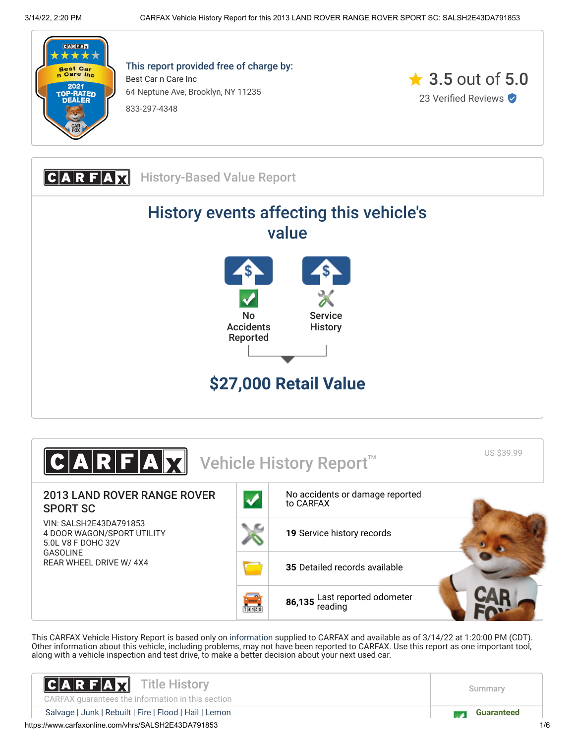

This report provided free of charge by: Best Car n Care Inc 64 Neptune Ave, Brooklyn, NY 11235 833-297-4348



**CARFAX** History-Based Value Report History events affecting this vehicle's value  $N<sub>0</sub>$ Accidents Reported **Service History \$27,000 Retail Value**



This CARFAX Vehicle History Report is based only on [information](http://www.carfax.com/company/vhr-data-sources) supplied to CARFAX and available as of 3/14/22 at 1:20:00 PM (CDT). Other information about this vehicle, including problems, may not have been reported to CARFAX. Use this report as one important tool, along with a vehicle inspection and test drive, to make a better decision about your next used car.

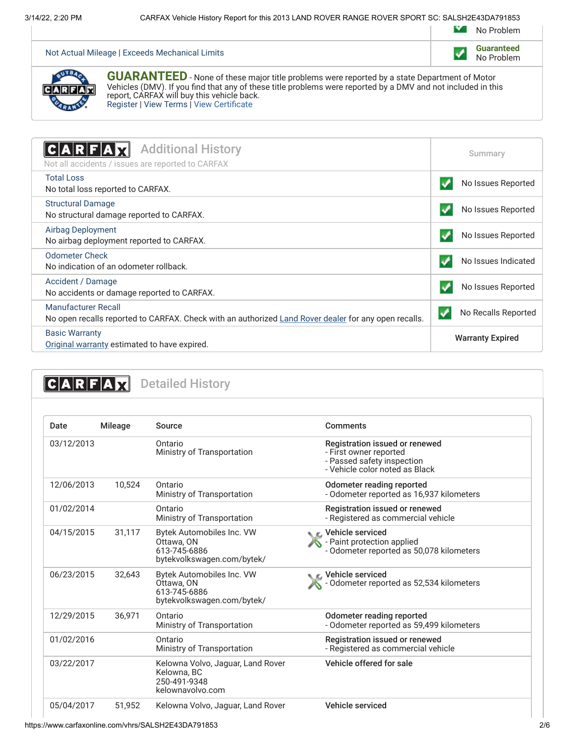| No Problem |
|------------|
|            |

No Problem

[Not Actual Mileage](https://www.carfaxonline.com/vhrs/defNAM) | [Exceeds Mechanical Limits](https://www.carfaxonline.com/vhrs/defEML) **Guaranteed** 



**GUARANTEED** - None of these major title problems were reported by a state Department of Motor Vehicles (DMV). If you find that any of these title problems were reported by a DMV and not included in this report, CARFAX will buy this vehicle back. [Register](https://www.carfax.com/Service/bbg) | [View Terms](http://www.carfaxonline.com/legal/bbgTerms) | [View Certificate](https://www.carfaxonline.com/vhrs/SALSH2E43DA791853)

<span id="page-1-0"></span>

| <b>Additional History</b><br>CARFA<br>Not all accidents / issues are reported to CARFAX                                            | Summary                  |  |
|------------------------------------------------------------------------------------------------------------------------------------|--------------------------|--|
| <b>Total Loss</b><br>No total loss reported to CARFAX.                                                                             | No Issues Reported       |  |
| <b>Structural Damage</b><br>No structural damage reported to CARFAX.                                                               | No Issues Reported       |  |
| Airbag Deployment<br>No airbag deployment reported to CARFAX.                                                                      | No Issues Reported       |  |
| <b>Odometer Check</b><br>No indication of an odometer rollback.                                                                    | No Issues Indicated      |  |
| Accident / Damage<br>No accidents or damage reported to CARFAX.                                                                    | No Issues Reported       |  |
| <b>Manufacturer Recall</b><br>No open recalls reported to CARFAX. Check with an authorized Land Rover dealer for any open recalls. | No Recalls Reported<br>ᢦ |  |
| <b>Basic Warranty</b><br>Original warranty estimated to have expired.                                                              | <b>Warranty Expired</b>  |  |

# <span id="page-1-1"></span>**CARFAX** Detailed History

| Date       | <b>Mileage</b> | Source                                                                                | <b>Comments</b>                                                                                                          |
|------------|----------------|---------------------------------------------------------------------------------------|--------------------------------------------------------------------------------------------------------------------------|
| 03/12/2013 |                | Ontario<br>Ministry of Transportation                                                 | Registration issued or renewed<br>- First owner reported<br>- Passed safety inspection<br>- Vehicle color noted as Black |
| 12/06/2013 | 10,524         | Ontario<br>Ministry of Transportation                                                 | Odometer reading reported<br>- Odometer reported as 16,937 kilometers                                                    |
| 01/02/2014 |                | Ontario<br>Ministry of Transportation                                                 | Registration issued or renewed<br>- Registered as commercial vehicle                                                     |
| 04/15/2015 | 31,117         | Bytek Automobiles Inc. VW<br>Ottawa, ON<br>613-745-6886<br>bytekvolkswagen.com/bytek/ | C Vehicle serviced<br>- Paint protection applied<br>- Odometer reported as 50,078 kilometers                             |
| 06/23/2015 | 32,643         | Bytek Automobiles Inc. VW<br>Ottawa, ON<br>613-745-6886<br>bytekvolkswagen.com/bytek/ | ic⊾ Vehicle serviced<br>- Odometer reported as 52,534 kilometers                                                         |
| 12/29/2015 | 36,971         | Ontario<br>Ministry of Transportation                                                 | Odometer reading reported<br>- Odometer reported as 59,499 kilometers                                                    |
| 01/02/2016 |                | Ontario<br>Ministry of Transportation                                                 | Registration issued or renewed<br>- Registered as commercial vehicle                                                     |
| 03/22/2017 |                | Kelowna Volvo, Jaguar, Land Rover<br>Kelowna, BC<br>250-491-9348<br>kelownavolvo.com  | Vehicle offered for sale                                                                                                 |
| 05/04/2017 | 51,952         | Kelowna Volvo, Jaguar, Land Rover                                                     | Vehicle serviced                                                                                                         |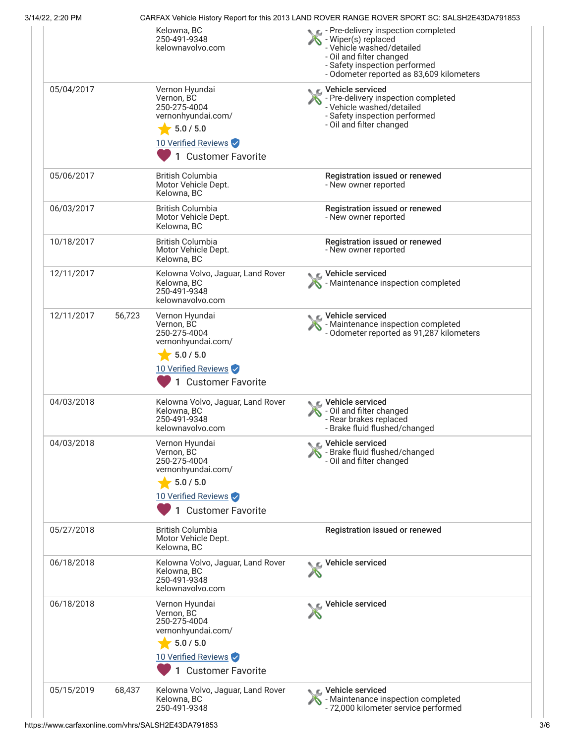| 3/14/22, 2:20 PM |        |                                                                                                                                                       | CARFAX Vehicle History Report for this 2013 LAND ROVER RANGE ROVER SPORT SC: SALSH2E43DA791853                                                                                                 |
|------------------|--------|-------------------------------------------------------------------------------------------------------------------------------------------------------|------------------------------------------------------------------------------------------------------------------------------------------------------------------------------------------------|
|                  |        | Kelowna, BC<br>250-491-9348<br>kelownavolvo.com                                                                                                       | Pre-delivery inspection completed<br>- Wiper(s) replaced<br>- Vehicle washed/detailed<br>- Oil and filter changed<br>- Safety inspection performed<br>- Odometer reported as 83,609 kilometers |
| 05/04/2017       |        | Vernon Hyundai<br>Vernon, BC<br>250-275-4004<br>vernonhyundai.com/<br>5.0 / 5.0                                                                       | Vehicle serviced<br>- Pre-delivery inspection completed<br>- Vehicle washed/detailed<br>- Safety inspection performed<br>- Oil and filter changed                                              |
|                  |        | 10 Verified Reviews<br><b>Customer Favorite</b><br>1                                                                                                  |                                                                                                                                                                                                |
| 05/06/2017       |        | <b>British Columbia</b><br>Motor Vehicle Dept.<br>Kelowna, BC                                                                                         | Registration issued or renewed<br>- New owner reported                                                                                                                                         |
| 06/03/2017       |        | <b>British Columbia</b><br>Motor Vehicle Dept.<br>Kelowna, BC                                                                                         | Registration issued or renewed<br>- New owner reported                                                                                                                                         |
| 10/18/2017       |        | <b>British Columbia</b><br>Motor Vehicle Dept.<br>Kelowna, BC                                                                                         | Registration issued or renewed<br>- New owner reported                                                                                                                                         |
| 12/11/2017       |        | Kelowna Volvo, Jaguar, Land Rover<br>Kelowna, BC<br>250-491-9348<br>kelownavolvo.com                                                                  | Vehicle serviced<br>Maintenance inspection completed                                                                                                                                           |
| 12/11/2017       | 56,723 | Vernon Hyundai<br>Vernon, BC<br>250-275-4004<br>vernonhyundai.com/<br>$\frac{1}{2}$ 5.0 / 5.0<br>10 Verified Reviews<br>1<br><b>Customer Favorite</b> | Vehicle serviced<br>Maintenance inspection completed<br>- Odometer reported as 91,287 kilometers                                                                                               |
| 04/03/2018       |        | Kelowna Volvo, Jaguar, Land Rover<br>Kelowna, BC<br>250-491-9348<br>kelownavolvo.com                                                                  | <b>€</b> Vehicle serviced<br>- Oil and filter changed<br>- Rear brakes replaced<br>- Brake fluid flushed/changed                                                                               |
| 04/03/2018       |        | Vernon Hyundai<br>Vernon, BC<br>250-275-4004<br>vernonhyundai.com/<br>5.0 / 5.0<br>10 Verified Reviews<br>1 Customer Favorite                         | Vehicle serviced<br>- Brake fluid flushed/changed<br>- Oil and filter changed                                                                                                                  |
| 05/27/2018       |        | <b>British Columbia</b><br>Motor Vehicle Dept.<br>Kelowna, BC                                                                                         | Registration issued or renewed                                                                                                                                                                 |
| 06/18/2018       |        | Kelowna Volvo, Jaguar, Land Rover<br>Kelowna, BC<br>250-491-9348<br>kelownavolvo.com                                                                  | Vehicle serviced                                                                                                                                                                               |
| 06/18/2018       |        | Vernon Hyundai<br>Vernon, BC<br>250-275-4004<br>vernonhyundai.com/<br>5.0 / 5.0<br>10 Verified Reviews<br>1<br><b>Customer Favorite</b>               | Vehicle serviced                                                                                                                                                                               |
| 05/15/2019       | 68,437 | Kelowna Volvo, Jaguar, Land Rover<br>Kelowna, BC<br>250-491-9348                                                                                      | Vehicle serviced<br>- Maintenance inspection completed<br>- 72,000 kilometer service performed                                                                                                 |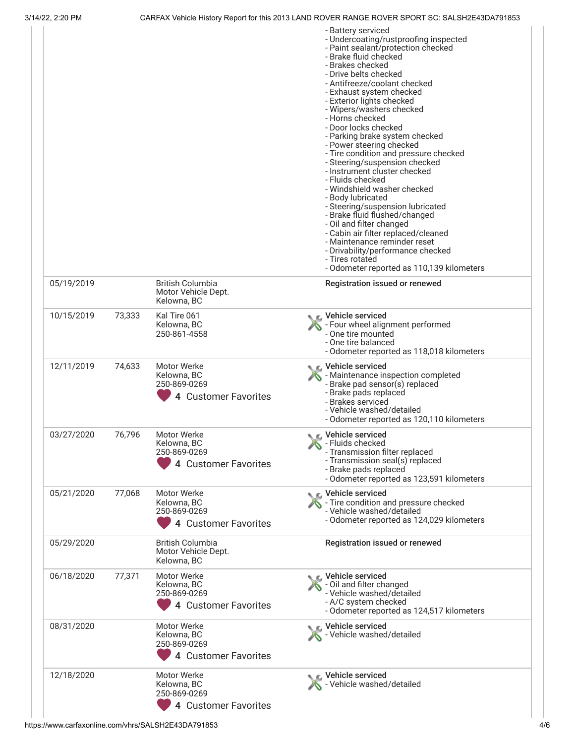| TILL, L.LU I IVI |        |                                                                           | OAN AAN VONIGIO HISIOI V NODON IOI INIS ZO IS EAND NOVEN IVANOE NOVEN OF ONT OO. OALOHZE                                                                                                                                                                                                                                                                                                                                                                                                                                                                                                                                                                                                                                                                                                                                                                             |
|------------------|--------|---------------------------------------------------------------------------|----------------------------------------------------------------------------------------------------------------------------------------------------------------------------------------------------------------------------------------------------------------------------------------------------------------------------------------------------------------------------------------------------------------------------------------------------------------------------------------------------------------------------------------------------------------------------------------------------------------------------------------------------------------------------------------------------------------------------------------------------------------------------------------------------------------------------------------------------------------------|
|                  |        |                                                                           | - Battery serviced<br>- Undercoating/rustproofing inspected<br>- Paint sealant/protection checked<br>- Brake fluid checked<br>- Brakes checked<br>- Drive belts checked<br>- Antifreeze/coolant checked<br>- Exhaust system checked<br>- Exterior lights checked<br>- Wipers/washers checked<br>- Horns checked<br>- Door locks checked<br>- Parking brake system checked<br>- Power steering checked<br>- Tire condition and pressure checked<br>- Steering/suspension checked<br>- Instrument cluster checked<br>- Fluids checked<br>- Windshield washer checked<br>- Body lubricated<br>- Steering/suspension lubricated<br>- Brake fluid flushed/changed<br>- Oil and filter changed<br>- Cabin air filter replaced/cleaned<br>- Maintenance reminder reset<br>- Drivability/performance checked<br>- Tires rotated<br>- Odometer reported as 110,139 kilometers |
| 05/19/2019       |        | <b>British Columbia</b><br>Motor Vehicle Dept.<br>Kelowna, BC             | Registration issued or renewed                                                                                                                                                                                                                                                                                                                                                                                                                                                                                                                                                                                                                                                                                                                                                                                                                                       |
| 10/15/2019       | 73,333 | Kal Tire 061<br>Kelowna, BC<br>250-861-4558                               | C Vehicle serviced<br>- Four wheel alignment performed<br>- One tire mounted<br>- One tire balanced<br>- Odometer reported as 118,018 kilometers                                                                                                                                                                                                                                                                                                                                                                                                                                                                                                                                                                                                                                                                                                                     |
| 12/11/2019       | 74,633 | Motor Werke<br>Kelowna, BC<br>250-869-0269<br>4 Customer Favorites        | C Vehicle serviced<br>- Maintenance inspection completed<br>- Brake pad sensor(s) replaced<br>- Brake pads replaced<br>- Brakes serviced<br>- Vehicle washed/detailed<br>- Odometer reported as 120,110 kilometers                                                                                                                                                                                                                                                                                                                                                                                                                                                                                                                                                                                                                                                   |
| 03/27/2020       | 76,796 | <b>Motor Werke</b><br>Kelowna, BC<br>250-869-0269<br>4 Customer Favorites | C Vehicle serviced<br>- Fluids checked<br>- Transmission filter replaced<br>- Transmission seal(s) replaced<br>- Brake pads replaced<br>- Odometer reported as 123,591 kilometers                                                                                                                                                                                                                                                                                                                                                                                                                                                                                                                                                                                                                                                                                    |
| 05/21/2020       | 77,068 | <b>Motor Werke</b><br>Kelowna, BC<br>250-869-0269<br>4 Customer Favorites | C Vehicle serviced<br>- Tire condition and pressure checked<br>- Vehicle washed/detailed<br>- Odometer reported as 124,029 kilometers                                                                                                                                                                                                                                                                                                                                                                                                                                                                                                                                                                                                                                                                                                                                |
| 05/29/2020       |        | British Columbia<br>Motor Vehicle Dept.<br>Kelowna, BC                    | Registration issued or renewed                                                                                                                                                                                                                                                                                                                                                                                                                                                                                                                                                                                                                                                                                                                                                                                                                                       |
| 06/18/2020       | 77,371 | Motor Werke<br>Kelowna, BC<br>250-869-0269<br>4 Customer Favorites        | C Vehicle serviced<br>- Oil and filter changed<br>- Vehicle washed/detailed<br>- A/C system checked<br>- Odometer reported as 124,517 kilometers                                                                                                                                                                                                                                                                                                                                                                                                                                                                                                                                                                                                                                                                                                                     |
| 08/31/2020       |        | Motor Werke<br>Kelowna, BC<br>250-869-0269<br>4 Customer Favorites        | C Vehicle serviced<br>- Vehicle washed/detailed                                                                                                                                                                                                                                                                                                                                                                                                                                                                                                                                                                                                                                                                                                                                                                                                                      |
| 12/18/2020       |        | Motor Werke<br>Kelowna, BC<br>250-869-0269<br>4 Customer Favorites        | <b>C</b> Vehicle serviced<br>Vehicle washed/detailed                                                                                                                                                                                                                                                                                                                                                                                                                                                                                                                                                                                                                                                                                                                                                                                                                 |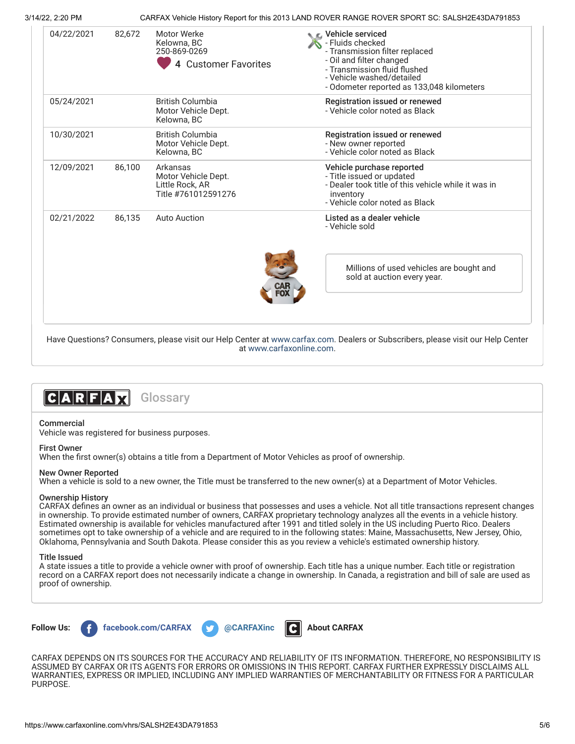## 3/14/22, 2:20 PM CARFAX Vehicle History Report for this 2013 LAND ROVER RANGE ROVER SPORT SC: SALSH2E43DA791853

| 04/22/2021 | 82.672 | <b>Motor Werke</b><br>Kelowna, BC<br>250-869-0269<br>4 Customer Favorites | C Vehicle serviced<br>- Fluids checked<br>- Transmission filter replaced<br>- Oil and filter changed<br>- Transmission fluid flushed<br>- Vehicle washed/detailed<br>- Odometer reported as 133,048 kilometers |  |
|------------|--------|---------------------------------------------------------------------------|----------------------------------------------------------------------------------------------------------------------------------------------------------------------------------------------------------------|--|
| 05/24/2021 |        | <b>British Columbia</b><br>Motor Vehicle Dept.<br>Kelowna, BC             | Registration issued or renewed<br>- Vehicle color noted as Black                                                                                                                                               |  |
| 10/30/2021 |        | <b>British Columbia</b><br>Motor Vehicle Dept.<br>Kelowna, BC             | Registration issued or renewed<br>- New owner reported<br>- Vehicle color noted as Black                                                                                                                       |  |
| 12/09/2021 | 86,100 | Arkansas<br>Motor Vehicle Dept.<br>Little Rock, AR<br>Title #761012591276 | Vehicle purchase reported<br>- Title issued or updated<br>- Dealer took title of this vehicle while it was in<br>inventory<br>- Vehicle color noted as Black                                                   |  |
| 02/21/2022 | 86.135 | <b>Auto Auction</b>                                                       | Listed as a dealer vehicle<br>- Vehicle sold                                                                                                                                                                   |  |
|            |        |                                                                           | Millions of used vehicles are bought and<br>sold at auction every year.                                                                                                                                        |  |
|            |        |                                                                           |                                                                                                                                                                                                                |  |

Have Questions? Consumers, please visit our Help Center at [www.carfax.com](http://www.carfax.com/help). Dealers or Subscribers, please visit our Help Center at [www.carfaxonline.com.](http://www.carfaxonline.com/)



### Commercial

Vehicle was registered for business purposes.

#### First Owner

When the first owner(s) obtains a title from a Department of Motor Vehicles as proof of ownership.

#### New Owner Reported

When a vehicle is sold to a new owner, the Title must be transferred to the new owner(s) at a Department of Motor Vehicles.

#### Ownership History

CARFAX defines an owner as an individual or business that possesses and uses a vehicle. Not all title transactions represent changes in ownership. To provide estimated number of owners, CARFAX proprietary technology analyzes all the events in a vehicle history. Estimated ownership is available for vehicles manufactured after 1991 and titled solely in the US including Puerto Rico. Dealers sometimes opt to take ownership of a vehicle and are required to in the following states: Maine, Massachusetts, New Jersey, Ohio, Oklahoma, Pennsylvania and South Dakota. Please consider this as you review a vehicle's estimated ownership history.

#### Title Issued

A state issues a title to provide a vehicle owner with proof of ownership. Each title has a unique number. Each title or registration record on a CARFAX report does not necessarily indicate a change in ownership. In Canada, a registration and bill of sale are used as proof of ownership.



**Follow Us: f** [facebook.com/CARFAX](https://www.facebook.com/CARFAXinc) **and facebook.com/CARFAX and facebook.com/CARFAX** 





CARFAX DEPENDS ON ITS SOURCES FOR THE ACCURACY AND RELIABILITY OF ITS INFORMATION. THEREFORE, NO RESPONSIBILITY IS ASSUMED BY CARFAX OR ITS AGENTS FOR ERRORS OR OMISSIONS IN THIS REPORT. CARFAX FURTHER EXPRESSLY DISCLAIMS ALL WARRANTIES, EXPRESS OR IMPLIED, INCLUDING ANY IMPLIED WARRANTIES OF MERCHANTABILITY OR FITNESS FOR A PARTICULAR PURPOSE.